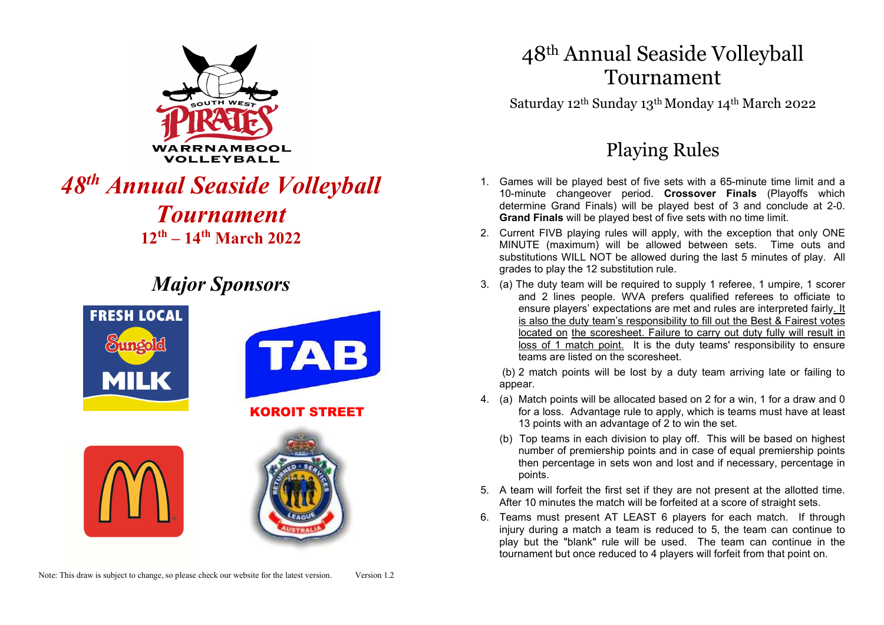

# *48th Annual Seaside Volleyball Tournament* **12th – 14th March 2022**

# *Major Sponsors*



# 48th Annual Seaside Volleyball Tournament

Saturday 12th Sunday 13th Monday 14th March 2022

# Playing Rules

- 1. Games will be played best of five sets with a 65-minute time limit and a 10-minute changeover period. **Crossover Finals** (Playoffs which determine Grand Finals) will be played best of 3 and conclude at 2-0. **Grand Finals** will be played best of five sets with no time limit.
- 2. Current FIVB playing rules will apply, with the exception that only ONE MINUTE (maximum) will be allowed between sets. Time outs and substitutions WILL NOT be allowed during the last 5 minutes of play. All grades to play the 12 substitution rule.
- 3. (a) The duty team will be required to supply 1 referee, 1 umpire, 1 scorer and 2 lines people. WVA prefers qualified referees to officiate to ensure players' expectations are met and rules are interpreted fairly. It is also the duty team's responsibility to fill out the Best & Fairest votes located on the scoresheet. Failure to carry out duty fully will result in loss of 1 match point. It is the duty teams' responsibility to ensure teams are listed on the scoresheet.

 (b) 2 match points will be lost by a duty team arriving late or failing to appear.

- 4. (a) Match points will be allocated based on 2 for a win, 1 for a draw and 0 for a loss. Advantage rule to apply, which is teams must have at least 13 points with an advantage of 2 to win the set.
	- (b) Top teams in each division to play off. This will be based on highest number of premiership points and in case of equal premiership points then percentage in sets won and lost and if necessary, percentage in points.
- 5. A team will forfeit the first set if they are not present at the allotted time. After 10 minutes the match will be forfeited at a score of straight sets.
- 6. Teams must present AT LEAST 6 players for each match. If through injury during a match a team is reduced to 5, the team can continue to play but the "blank" rule will be used. The team can continue in the tournament but once reduced to 4 players will forfeit from that point on.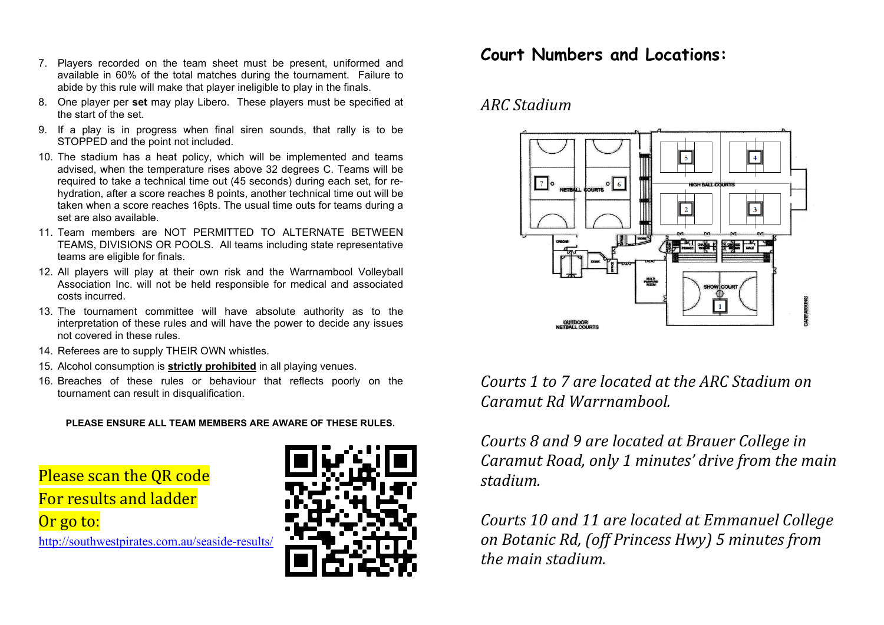- 7. Players recorded on the team sheet must be present, uniformed and available in 60% of the total matches during the tournament. Failure to abide by this rule will make that player ineligible to play in the finals.
- 8. One player per **set** may play Libero. These players must be specified at the start of the set.
- 9. If a play is in progress when final siren sounds, that rally is to be STOPPED and the point not included.
- 10. The stadium has a heat policy, which will be implemented and teams advised, when the temperature rises above 32 degrees C. Teams will be required to take a technical time out (45 seconds) during each set, for rehydration, after a score reaches 8 points, another technical time out will be taken when a score reaches 16pts. The usual time outs for teams during a set are also available.
- 11. Team members are NOT PERMITTED TO ALTERNATE BETWEEN TEAMS, DIVISIONS OR POOLS. All teams including state representative teams are eligible for finals.
- 12. All players will play at their own risk and the Warrnambool Volleyball Association Inc. will not be held responsible for medical and associated costs incurred.
- 13. The tournament committee will have absolute authority as to the interpretation of these rules and will have the power to decide any issues not covered in these rules.
- 14. Referees are to supply THEIR OWN whistles.
- 15. Alcohol consumption is **strictly prohibited** in all playing venues.
- 16. Breaches of these rules or behaviour that reflects poorly on the tournament can result in disqualification.

**PLEASE ENSURE ALL TEAM MEMBERS ARE AWARE OF THESE RULES.**

Please scan the QR code For results and ladder Or go to:

http://southwestpirates.com.au/seaside-results/



### **Court Numbers and Locations:**

#### *ARC Stadium*



*Courts 1 to 7 are located at the ARC Stadium on Caramut Rd Warrnambool.* 

*Courts 8 and 9 are located at Brauer College in Caramut Road, only 1 minutes' drive from the main stadium.* 

*Courts 10 and 11 are located at Emmanuel College on Botanic Rd, (off Princess Hwy) 5 minutes from the main stadium.*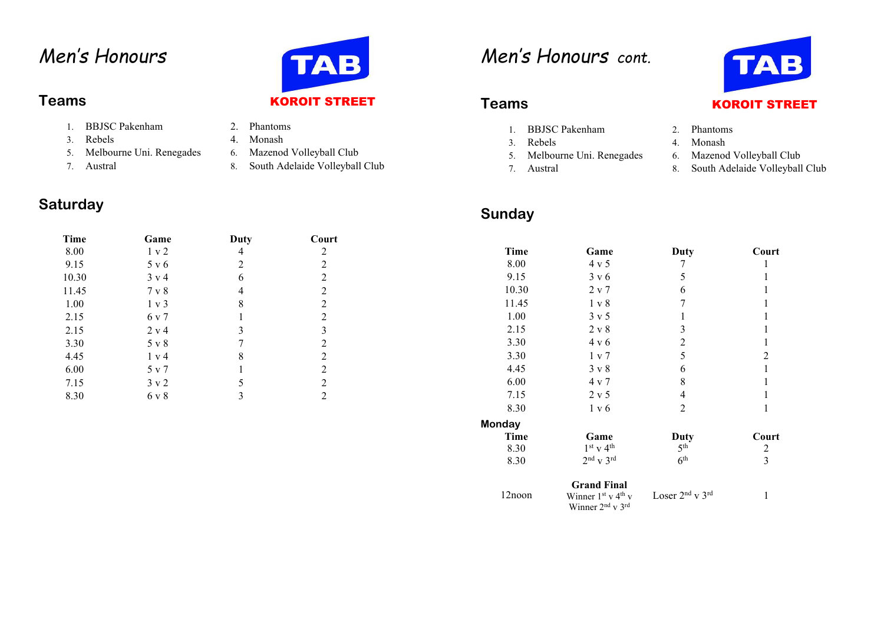# *Men's Honours*

- 1. BBJSC Pakenham
- 3. Rebels
- 5. Melbourne Uni. Renegades 6. Mazenod Volleyball Club
- 7.

#### **Saturday**

| Time  | Game             | Duty | Court          |
|-------|------------------|------|----------------|
| 8.00  | 1 v 2            | 4    | 2              |
| 9.15  | 5 v 6            | 2    | 2              |
| 10.30 | $3 \text{ v} 4$  | 6    | $\overline{2}$ |
| 11.45 | $7 \times 8$     | 4    | $\overline{2}$ |
| 1.00  | $1 \text{ v } 3$ | 8    | $\overline{2}$ |
| 2.15  | 6 v 7            | 1    | $\overline{2}$ |
| 2.15  | 2 v 4            | 3    | 3              |
| 3.30  | 5 v 8            | 7    | $\overline{2}$ |
| 4.45  | 1 v 4            | 8    | $\overline{2}$ |
| 6.00  | 5 v 7            | 1    | $\overline{2}$ |
| 7.15  | $3 \times 2$     | 5    | 2              |
| 8.30  | 6 v 8            | 3    | 2              |

# **TAB Teams KOROIT STREET**

- 2. Phantoms
	-
- 4. Monash<br>6. Mazenod Volleyball Club
- Austral 8. South Adelaide Volleyball Club

# *Men's Honours cont.*

- 1. BBJSC Pakenham 2. Phantoms
- 3.
- 5.Melbourne Uni. Renegades 6.
- 7.

### **Sunday**



- 
- Rebels 4. Monash
	- Mazenod Volleyball Club
- Austral 8. South Adelaide Volleyball Club

| Time   | Game                                                 | Duty                                    | Court |
|--------|------------------------------------------------------|-----------------------------------------|-------|
| 8.00   | 4 v 5                                                | 7                                       | 1     |
| 9.15   | $3 \times 6$                                         | 5                                       | 1     |
| 10.30  | $2 \times 7$                                         | 6                                       | 1     |
| 11.45  | 1 v 8                                                | 7                                       | 1     |
| 1.00   | $3 \times 5$                                         | 1                                       | 1     |
| 2.15   | $2 \times 8$                                         | 3                                       | 1     |
| 3.30   | $4 \times 6$                                         | $\overline{c}$                          | 1     |
| 3.30   | 1 v 7                                                | 5                                       | 2     |
| 4.45   | $3 \times 8$                                         | 6                                       | 1     |
| 6.00   | $4 \times 7$                                         | 8                                       | 1     |
| 7.15   | $2 \times 5$                                         | 4                                       | 1     |
| 8.30   | 1 v 6                                                | 2                                       | 1     |
| Monday |                                                      |                                         |       |
| Time   | Game                                                 | Duty                                    | Court |
| 8.30   | $1st$ v 4 <sup>th</sup>                              | 5 <sup>th</sup>                         | 2     |
| 8.30   | $2nd$ v $3rd$                                        | 6 <sup>th</sup>                         | 3     |
|        | <b>Grand Final</b>                                   |                                         |       |
| 12noon | Winner $1^{st}$ v $4^{th}$ v<br>Winner $2nd$ v $3rd$ | Loser 2 <sup>nd</sup> v 3 <sup>rd</sup> | 1     |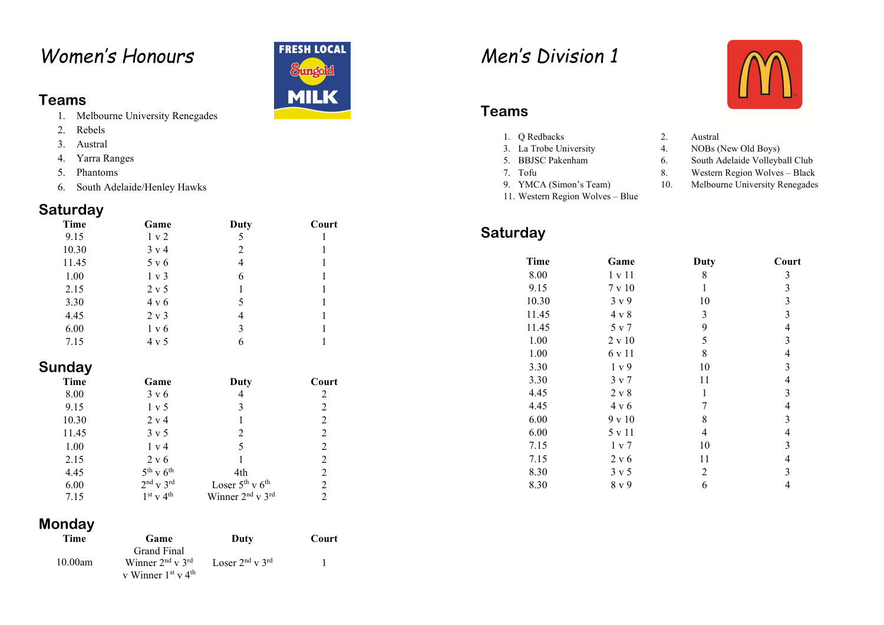# *Women's Honours*

#### **Teams**

- 1. Melbourne University Renegades
- 2. Rebels
- 3. Austral
- 4. Yarra Ranges
- 5. Phantoms
- 6. South Adelaide/Henley Hawks

#### **Saturday**

| Time  | Game            | Duty | Court |
|-------|-----------------|------|-------|
| 9.15  | 1 v 2           | 5    |       |
| 10.30 | $3 \text{ v} 4$ | 2    |       |
| 11.45 | 5 v 6           | 4    |       |
| 1.00  | $1 \times 3$    | 6    |       |
| 2.15  | $2 \times 5$    |      |       |
| 3.30  | $4 \times 6$    |      |       |
| 4.45  | $2 \times 3$    |      |       |
| 6.00  | 1 v 6           | 3    |       |
| 7.15  | 4 v 5           |      |       |

#### **Sunday**

| Time  | Game                | Duty                                     | Court          |
|-------|---------------------|------------------------------------------|----------------|
| 8.00  | $3 \times 6$        | 4                                        | 2              |
| 9.15  | 1 v 5               | 3                                        | 2              |
| 10.30 | $2 \text{ v } 4$    |                                          | 2              |
| 11.45 | $3 \times 5$        | 2                                        | 2              |
| 1.00  | $1 \text{ v } 4$    | 5                                        | 2              |
| 2.15  | 2 v 6               |                                          | 2              |
| 4.45  | $5^{th}$ v $6^{th}$ | 4th                                      | $\mathfrak{D}$ |
| 6.00  | $2nd$ v $3rd$       | Loser $5^{th}$ v $6^{th}$                | $\mathfrak{D}$ |
| 7.15  | $1st$ v $4th$       | Winner 2 <sup>nd</sup> v 3 <sup>rd</sup> | $\mathcal{D}$  |

#### **Monday**

| Time    | Game                                                                | Duty                      | Court |
|---------|---------------------------------------------------------------------|---------------------------|-------|
| 10.00am | Grand Final<br>Winner $2nd$ v $3rd$<br>v Winner $1^{st}$ v $4^{th}$ | Loser $2^{nd}$ v $3^{rd}$ |       |



# *Men's Division 1*

#### **Teams**

- 1. Q Redbacks 2. Austral
- 3. La Trobe University
- 5. BBJSC Pakenham
- 7.
- 9. YMCA (Simon's Team)
- 11. Western Region Wolves Blue

#### **Saturday**

#### **Time Game Duty Court** 8.00 1 v 11 8 3  $\overline{3}$ 9.15  $7 \times 10$  1  $\overline{3}$  $10.30 \t 3 \t v 9$  10 3 11.45 4 v 8 3 3 11.45 5 v 7 9 4  $\overline{3}$  $1.00$  2 v 10 5 1.00 6 v 11 8 4  $\overline{3}$ 3.30  $1 \text{ v } 9$   $10$ 3.30  $3 \times 7$  11 4  $4.45$  2 v 8 1 3 4.45 4 v 6 7 4  $\overline{3}$ 6.00  $9 \times 10$  8 6.00  $5 \text{ v } 11$  4 4 7.15  $1 \times 7$  10 3  $\overline{4}$ 7.15 2 v 6 11 8.30  $3 \times 5$  2 3  $8.30 \qquad 8 \text{ y } 9 \qquad 6 \qquad 4$



- 
- 4. NOBs (New Old Boys)
- 6. South Adelaide Volleyball Club
- 8. Western Region Wolves Black
- 10. Melbourne University Renegades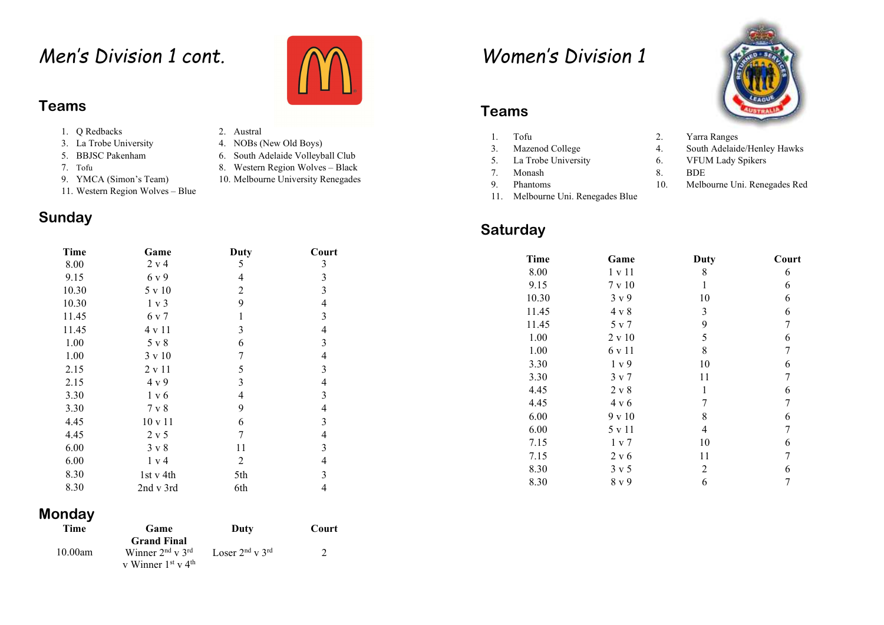# *Men's Division 1 cont.*

#### **Teams**

- 1. Q Redbacks 2. Austral
- 3. La Trobe University
- 5. BBJSC Pakenham
- 7.
- 9. YMCA (Simon's Team)
- 11. Western Region Wolves Blue

#### **Sunday**

| <b>Time</b> | Game             | Duty                    | Court                   |
|-------------|------------------|-------------------------|-------------------------|
| 8.00        | 2 v 4            | 5                       | 3                       |
| 9.15        | 6 v 9            | 4                       | 3                       |
| 10.30       | 5 v 10           | $\overline{2}$          | 3                       |
| 10.30       | $1 \text{ v } 3$ | 9                       | $\overline{\mathbf{4}}$ |
| 11.45       | 6 v 7            | 1                       | 3                       |
| 11.45       | 4 v 11           | 3                       | $\overline{\mathbf{4}}$ |
| 1.00        | $5 \vee 8$       | 6                       | 3                       |
| 1.00        | $3 \times 10$    | 7                       | $\overline{4}$          |
| 2.15        | 2 v 11           | 5                       | 3                       |
| 2.15        | 4 v 9            | 3                       | $\overline{4}$          |
| 3.30        | 1 v 6            | $\overline{\mathbf{4}}$ | 3                       |
| 3.30        | 7 v 8            | 9                       | $\overline{4}$          |
| 4.45        | $10 \times 11$   | 6                       | 3                       |
| 4.45        | 2 v 5            | 7                       | $\overline{4}$          |
| 6.00        | $3 \times 8$     | 11                      | 3                       |
| 6.00        | 1 v 4            | 2                       | $\overline{\mathbf{4}}$ |
| 8.30        | 1st v 4th        | 5th                     | 3                       |
| 8.30        | 2nd v 3rd        | 6th                     | $\overline{4}$          |

#### **Monday**

| Time    | Game                                                 | Duty                      | Court |
|---------|------------------------------------------------------|---------------------------|-------|
|         | <b>Grand Final</b>                                   |                           |       |
| 10.00am | Winner $2nd$ v $3rd$<br>v Winner $1^{st}$ v $4^{th}$ | Loser $2^{nd}$ v $3^{rd}$ |       |

- 
- 4. NOBs (New Old Boys)
- 6. South Adelaide Volleyball Club
- 8. Western Region Wolves Black
- 10. Melbourne University Renegades

# *Women's Division 1*

#### **Teams**

- 1.3.
- 5.
- 7.
- 9.
- 11. Melbourne Uni. Renegades Blue

#### **Saturday**





- Tofu 2. Yarra Ranges Mazenod College 4. South Adelaide/Henley Hawks<br>
La Trobe University 6. VFUM Lady Spikers 6. VFUM Lady Spikers Monash 8. BDE
- Phantoms 10. Melbourne Uni. Renegades Red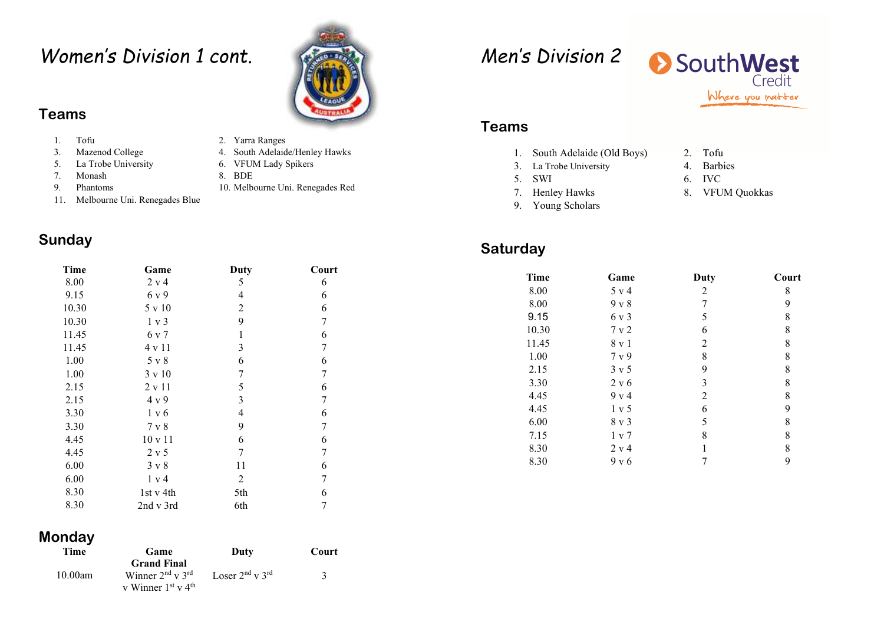## *Women's Division 1 cont.*

#### **Teams**

- 1.
- 3.
- 5.
- 7.
- 9.
- 11. Melbourne Uni. Renegades Blue

#### **Sunday**

| Time  | Game          | Duty           | Court          |
|-------|---------------|----------------|----------------|
| 8.00  | 2 v 4         | 5              | 6              |
| 9.15  | 6 v 9         | 4              | 6              |
| 10.30 | 5 v 10        | $\overline{2}$ | 6              |
| 10.30 | 1 v 3         | 9              | 7              |
| 11.45 | 6 v 7         | $\mathbf{1}$   | 6              |
| 11.45 | 4 v 11        | 3              | 7              |
| 1.00  | 5 v 8         | 6              | 6              |
| 1.00  | 3 v 10        | 7              | 7              |
| 2.15  | $2 \times 11$ | 5              | 6              |
| 2.15  | 4 v 9         | 3              | 7              |
| 3.30  | 1 v 6         | 4              | 6              |
| 3.30  | 7 v 8         | 9              | 7              |
| 4.45  | 10 v 11       | 6              | 6              |
| 4.45  | 2 v 5         | 7              | 7              |
| 6.00  | $3 \times 8$  | 11             | 6              |
| 6.00  | 1 v 4         | 2              | 7              |
| 8.30  | 1st v 4th     | 5th            | 6              |
| 8.30  | 2nd v 3rd     | 6th            | $\overline{7}$ |

- Tofu 2. Yarra Ranges<br>
Mazenod College 2. A. South Adelaid
- Mazenod College 4. South Adelaide/Henley Hawks<br>
La Trobe University 6. VFUM Lady Spikers
	- 6. VFUM Lady Spikers
- Monash 8. BDE
- Phantoms 10. Melbourne Uni. Renegades Red
- 
- 
- -

# *Men's Division 2*



#### **Teams**

- 1. South Adelaide (Old Boys) 2. Tofu
- 3. La Trobe University 4. Barbies
- 5.
- 7. Henley Hawks
- 9. Young Scholars
- 
- 6. IVC
- 8. VFUM Quokkas

| Time  | Game             | Duty           | Court |
|-------|------------------|----------------|-------|
| 8.00  | 5 v 4            | 2              | 8     |
| 8.00  | $9 \times 8$     |                | 9     |
| 9.15  | 6 v 3            | 5              | 8     |
| 10.30 | 7 v 2            | 6              | 8     |
| 11.45 | 8 v 1            | $\overline{2}$ | 8     |
| 1.00  | 7 v 9            | 8              | 8     |
| 2.15  | $3 \times 5$     | 9              | 8     |
| 3.30  | 2 v 6            | 3              | 8     |
| 4.45  | $9 \text{ v } 4$ | $\overline{2}$ | 8     |
| 4.45  | 1 v 5            | 6              | 9     |
| 6.00  | $8 \text{ v } 3$ | 5              | 8     |
| 7.15  | 1 v 7            | 8              | 8     |
| 8.30  | 2 v 4            |                | 8     |
| 8.30  | $9 \times 6$     |                | 9     |

#### **Monday**

| Time    | Game                         | Duty                      | Court |
|---------|------------------------------|---------------------------|-------|
|         | <b>Grand Final</b>           |                           |       |
| 10.00am | Winner $2nd$ v $3rd$         | Loser $2^{nd}$ v $3^{rd}$ |       |
|         | v Winner $1^{st}$ v $4^{th}$ |                           |       |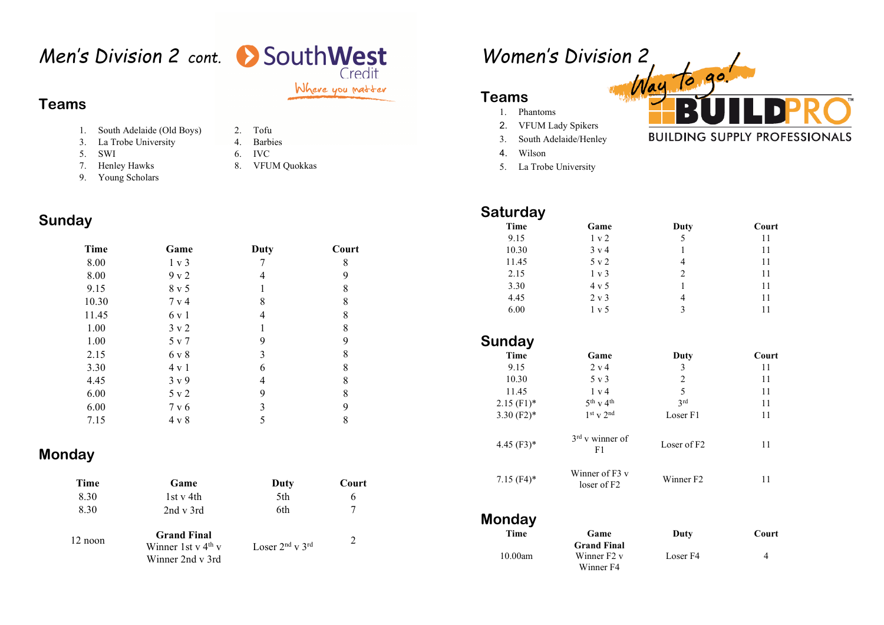# *Men's Division 2 cont.*

#### Where you matter

 $8\phantom{.0}$ 

#### **Teams**

- 1. South Adelaide (Old Boys) 2. Tofu
- 3. La Trobe University 4. Barbies
- 5.
- SWI 6. IVC
	- Henley Hawks 8. VFUM Quokkas
- 7.9. Young Scholars

### **Sunday**

| Time  | Game         | Duty | Court |
|-------|--------------|------|-------|
| 8.00  | 1 v 3        |      | 8     |
| 8.00  | 9 v 2        | 4    | 9     |
| 9.15  | 8 v 5        |      | 8     |
| 10.30 | 7 v 4        | 8    | 8     |
| 11.45 | 6 v 1        | 4    | 8     |
| 1.00  | $3 \times 2$ | 1    | 8     |
| 1.00  | 5 v 7        | 9    | 9     |
| 2.15  | 6 v 8        | 3    | 8     |
| 3.30  | 4 v 1        | 6    | 8     |
| 4.45  | $3 \times 9$ | 4    | 8     |
| 6.00  | 5 v 2        | 9    | 8     |
| 6.00  | 7 v 6        | 3    | 9     |

7.15  $4 \times 8$  5 8

#### **Monday**

| Time      | Game                                                           | Duty                      | Court |
|-----------|----------------------------------------------------------------|---------------------------|-------|
| 8.30      | 1st v 4th                                                      | 5th                       |       |
| 8.30      | $2nd \text{ v } 3rd$                                           | 6th                       |       |
| $12$ noon | <b>Grand Final</b><br>Winner 1st v $4th$ v<br>Winner 2nd v 3rd | Loser $2^{nd}$ v $3^{rd}$ |       |

# *Women's Division 2*

#### **Teams**

- 1. Phantoms
- 2. VFUM Lady Spikers
- . South Adelaide/Henley 3.
- 4. Wilson
- 5. La Trobe University

#### **Saturday**

| Time  | Game             | Duty | Court |
|-------|------------------|------|-------|
| 9.15  | 1 v 2            | 5    | 11    |
| 10.30 | $3 \text{ v} 4$  |      | 11    |
| 11.45 | $5 \text{ v } 2$ | 4    | 11    |
| 2.15  | $1 \text{ v } 3$ | 2    | 11    |
| 3.30  | $4 \mathrm{v} 5$ |      | 11    |
| 4.45  | $2 \text{ v } 3$ | 4    | 11    |
| 6.00  | 1 v 5            | 3    |       |
|       |                  |      |       |

#### **Sunday** Time Game Duty Court 9.15 2 v 4 3 11  $10.30$  5 v 3 2 11

| 11.45<br>$2.15$ (F1) <sup>*</sup><br>3.30 $(F2)*$ | 1 v 4<br>$5^{th}$ v 4 <sup>th</sup><br>$1st$ v $2nd$ | 5<br>2rd<br>Loser <sub>F1</sub> | 11<br>11<br>11 |
|---------------------------------------------------|------------------------------------------------------|---------------------------------|----------------|
| $4.45$ (F3)*                                      | $3rd$ v winner of<br>F1                              | Loser of F2                     | 11             |
| $7.15$ (F4)*                                      | Winner of F3 v<br>loser of F2                        | Winner F2                       | 11             |

#### **Monday**

| Time    | Game               | Duty     | Court |
|---------|--------------------|----------|-------|
|         | <b>Grand Final</b> |          |       |
| 10.00am | Winner $F2v$       | Loser F4 |       |
|         | Winner F4          |          |       |



11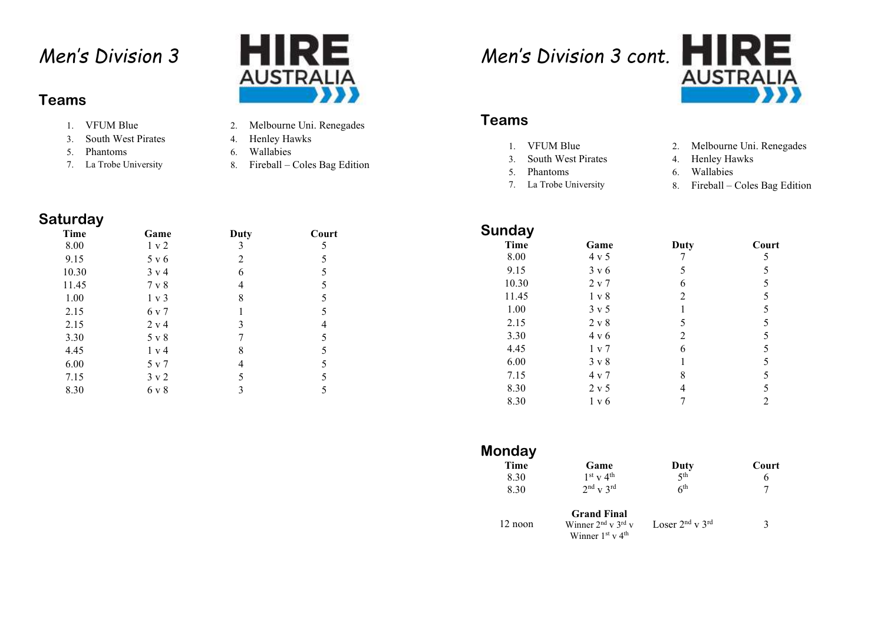# *Men's Division 3*

#### **Teams**

- 1. VFUM Blue 2.
- 3. South West Pirates **4. Henley Hawks**
- 
- 7. La Trobe University 8.



- 2. Melbourne Uni. Renegades
- 
- 5. Phantoms 6. Wallabies
	- Fireball Coles Bag Edition

*Men's Division 3 cont.* 



#### **Teams**

- 1. VFUM Blue 2.
- 3.
- 5.
- 7. La Trobe University 8.
- 2. Melbourne Uni. Renegades
- South West Pirates 4. Henley Hawks
- Phantoms 6. Wallabies
	- Fireball Coles Bag Edition

| <b>Saturday</b> |                  |      |       |
|-----------------|------------------|------|-------|
| Time            | Game             | Duty | Court |
| 8.00            | 1 v 2            | 3    | 5     |
| 9.15            | 5 v 6            | 2    | 5     |
| 10.30           | $3 \text{ v} 4$  | 6    | 5     |
| 11.45           | 7 v 8            | 4    | 5     |
| 1.00            | $1 \vee 3$       | 8    | 5     |
| 2.15            | 6 v 7            |      | 5     |
| 2.15            | $2 \text{ v } 4$ | 3    |       |
| 3.30            | 5 v 8            |      | 5     |
| 4.45            | 1 v 4            | 8    | 5     |
| 6.00            | 5 v 7            |      | 5     |
| 7.15            | $3 \times 2$     | 5    | 5     |
| 8.30            | 6 v 8            | 3    | 5     |

| <b>Sunday</b> |              |      |                |
|---------------|--------------|------|----------------|
| <b>Time</b>   | Game         | Duty | Court          |
| 8.00          | $4 \times 5$ |      | 5              |
| 9.15          | $3 \times 6$ | 5    | 5              |
| 10.30         | 2 v 7        | 6    | 5              |
| 11.45         | 1 v 8        | 2    | 5              |
| 1.00          | $3 \times 5$ |      | 5              |
| 2.15          | $2 \times 8$ | 5    | 5              |
| 3.30          | $4 \times 6$ | 2    | 5              |
| 4.45          | 1 v 7        | 6    | 5              |
| 6.00          | $3 \times 8$ |      | 5              |
| 7.15          | 4 v 7        | 8    | 5              |
| 8.30          | $2 \times 5$ | 4    | 5              |
| 8.30          | 1 v 6        |      | $\overline{c}$ |

| Monday  |                                              |                           |       |
|---------|----------------------------------------------|---------------------------|-------|
| Time    | Game                                         | Duty                      | Court |
| 8.30    | $1st$ v 4 <sup>th</sup>                      | 5 <sup>th</sup>           | 6     |
| 8.30    | $2^{\text{nd}}$ v $3^{\text{rd}}$            | 6 <sup>th</sup>           | 7     |
| 12 noon | <b>Grand Final</b><br>Winner $2nd$ v $3rd$ v | Loser $2^{nd}$ v $3^{rd}$ | 3     |
|         | Winner $1st$ v 4 <sup>th</sup>               |                           |       |